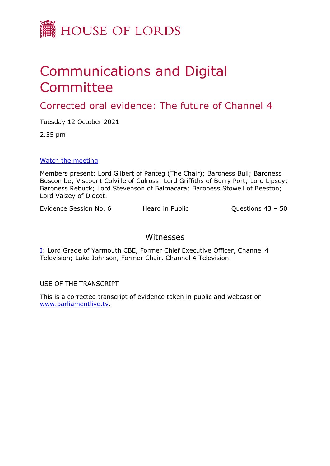

## Communications and Digital Committee

Corrected oral evidence: The future of Channel 4

Tuesday 12 October 2021

2.55 pm

[Watch](https://committees.parliament.uk/event/5586/formal-meeting-oral-evidence-session/) [the](https://committees.parliament.uk/event/5586/formal-meeting-oral-evidence-session/) [meeting](https://committees.parliament.uk/event/5586/formal-meeting-oral-evidence-session/)

Members present: Lord Gilbert of Panteg (The Chair); Baroness Bull; Baroness Buscombe; Viscount Colville of Culross; Lord Griffiths of Burry Port; Lord Lipsey; Baroness Rebuck; Lord Stevenson of Balmacara; Baroness Stowell of Beeston; Lord Vaizey of Didcot.

Evidence Session No. 6 Heard in Public Cuestions 43 – 50

## Witnesses

[I:](#page-1-0) Lord Grade of Yarmouth CBE, Former Chief Executive Officer, Channel 4 Television; Luke Johnson, Former Chair, Channel 4 Television.

USE OF THE TRANSCRIPT

This is a corrected transcript of evidence taken in public and webcast on [www.parliamentlive.tv](http://www.parliamentlive.tv/).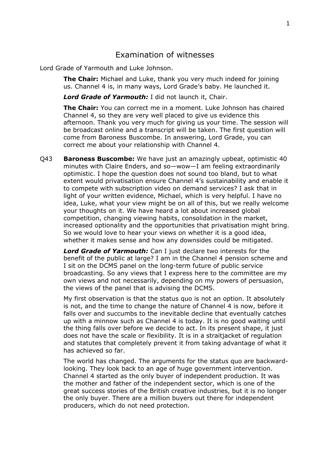## <span id="page-1-0"></span>Examination of witnesses

Lord Grade of Yarmouth and Luke Johnson.

**The Chair:** Michael and Luke, thank you very much indeed for joining us. Channel 4 is, in many ways, Lord Grade's baby. He launched it.

*Lord Grade of Yarmouth:* I did not launch it, Chair.

**The Chair:** You can correct me in a moment. Luke Johnson has chaired Channel 4, so they are very well placed to give us evidence this afternoon. Thank you very much for giving us your time. The session will be broadcast online and a transcript will be taken. The first question will come from Baroness Buscombe. In answering, Lord Grade, you can correct me about your relationship with Channel 4.

Q43 **Baroness Buscombe:** We have just an amazingly upbeat, optimistic 40 minutes with Claire Enders, and so—wow—I am feeling extraordinarily optimistic. I hope the question does not sound too bland, but to what extent would privatisation ensure Channel 4's sustainability and enable it to compete with subscription video on demand services? I ask that in light of your written evidence, Michael, which is very helpful. I have no idea, Luke, what your view might be on all of this, but we really welcome your thoughts on it. We have heard a lot about increased global competition, changing viewing habits, consolidation in the market, increased optionality and the opportunities that privatisation might bring. So we would love to hear your views on whether it is a good idea, whether it makes sense and how any downsides could be mitigated.

*Lord Grade of Yarmouth:* Can I just declare two interests for the benefit of the public at large? I am in the Channel 4 pension scheme and I sit on the DCMS panel on the long-term future of public service broadcasting. So any views that I express here to the committee are my own views and not necessarily, depending on my powers of persuasion, the views of the panel that is advising the DCMS.

My first observation is that the status quo is not an option. It absolutely is not, and the time to change the nature of Channel 4 is now, before it falls over and succumbs to the inevitable decline that eventually catches up with a minnow such as Channel 4 is today. It is no good waiting until the thing falls over before we decide to act. In its present shape, it just does not have the scale or flexibility. It is in a straitjacket of regulation and statutes that completely prevent it from taking advantage of what it has achieved so far.

The world has changed. The arguments for the status quo are backwardlooking. They look back to an age of huge government intervention. Channel 4 started as the only buyer of independent production. It was the mother and father of the independent sector, which is one of the great success stories of the British creative industries, but it is no longer the only buyer. There are a million buyers out there for independent producers, which do not need protection.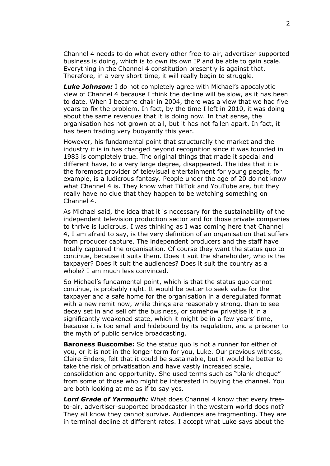Channel 4 needs to do what every other free-to-air, advertiser-supported business is doing, which is to own its own IP and be able to gain scale. Everything in the Channel 4 constitution presently is against that. Therefore, in a very short time, it will really begin to struggle.

*Luke Johnson:* I do not completely agree with Michael's apocalyptic view of Channel 4 because I think the decline will be slow, as it has been to date. When I became chair in 2004, there was a view that we had five years to fix the problem. In fact, by the time I left in 2010, it was doing about the same revenues that it is doing now. In that sense, the organisation has not grown at all, but it has not fallen apart. In fact, it has been trading very buoyantly this year.

However, his fundamental point that structurally the market and the industry it is in has changed beyond recognition since it was founded in 1983 is completely true. The original things that made it special and different have, to a very large degree, disappeared. The idea that it is the foremost provider of televisual entertainment for young people, for example, is a ludicrous fantasy. People under the age of 20 do not know what Channel 4 is. They know what TikTok and YouTube are, but they really have no clue that they happen to be watching something on Channel 4.

As Michael said, the idea that it is necessary for the sustainability of the independent television production sector and for those private companies to thrive is ludicrous. I was thinking as I was coming here that Channel 4, I am afraid to say, is the very definition of an organisation that suffers from producer capture. The independent producers and the staff have totally captured the organisation. Of course they want the status quo to continue, because it suits them. Does it suit the shareholder, who is the taxpayer? Does it suit the audiences? Does it suit the country as a whole? I am much less convinced.

So Michael's fundamental point, which is that the status quo cannot continue, is probably right. It would be better to seek value for the taxpayer and a safe home for the organisation in a deregulated format with a new remit now, while things are reasonably strong, than to see decay set in and sell off the business, or somehow privatise it in a significantly weakened state, which it might be in a few years' time, because it is too small and hidebound by its regulation, and a prisoner to the myth of public service broadcasting.

**Baroness Buscombe:** So the status quo is not a runner for either of you, or it is not in the longer term for you, Luke. Our previous witness, Claire Enders, felt that it could be sustainable, but it would be better to take the risk of privatisation and have vastly increased scale, consolidation and opportunity. She used terms such as "blank cheque" from some of those who might be interested in buying the channel. You are both looking at me as if to say yes.

*Lord Grade of Yarmouth:* What does Channel 4 know that every freeto-air, advertiser-supported broadcaster in the western world does not? They all know they cannot survive. Audiences are fragmenting. They are in terminal decline at different rates. I accept what Luke says about the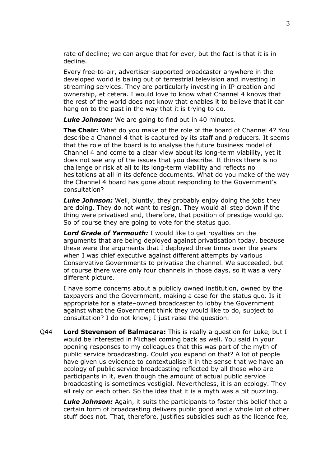rate of decline; we can argue that for ever, but the fact is that it is in decline.

Every free-to-air, advertiser-supported broadcaster anywhere in the developed world is baling out of terrestrial television and investing in streaming services. They are particularly investing in IP creation and ownership, et cetera. I would love to know what Channel 4 knows that the rest of the world does not know that enables it to believe that it can hang on to the past in the way that it is trying to do.

*Luke Johnson:* We are going to find out in 40 minutes.

**The Chair:** What do you make of the role of the board of Channel 4? You describe a Channel 4 that is captured by its staff and producers. It seems that the role of the board is to analyse the future business model of Channel 4 and come to a clear view about its long-term viability, yet it does not see any of the issues that you describe. It thinks there is no challenge or risk at all to its long-term viability and reflects no hesitations at all in its defence documents. What do you make of the way the Channel 4 board has gone about responding to the Government's consultation?

*Luke Johnson:* Well, bluntly, they probably enjoy doing the jobs they are doing. They do not want to resign. They would all step down if the thing were privatised and, therefore, that position of prestige would go. So of course they are going to vote for the status quo.

*Lord Grade of Yarmouth:* I would like to get royalties on the arguments that are being deployed against privatisation today, because these were the arguments that I deployed three times over the years when I was chief executive against different attempts by various Conservative Governments to privatise the channel. We succeeded, but of course there were only four channels in those days, so it was a very different picture.

I have some concerns about a publicly owned institution, owned by the taxpayers and the Government, making a case for the status quo. Is it appropriate for a state–owned broadcaster to lobby the Government against what the Government think they would like to do, subject to consultation? I do not know; I just raise the question.

Q44 **Lord Stevenson of Balmacara:** This is really a question for Luke, but I would be interested in Michael coming back as well. You said in your opening responses to my colleagues that this was part of the myth of public service broadcasting. Could you expand on that? A lot of people have given us evidence to contextualise it in the sense that we have an ecology of public service broadcasting reflected by all those who are participants in it, even though the amount of actual public service broadcasting is sometimes vestigial. Nevertheless, it is an ecology. They all rely on each other. So the idea that it is a myth was a bit puzzling.

*Luke Johnson:* Again, it suits the participants to foster this belief that a certain form of broadcasting delivers public good and a whole lot of other stuff does not. That, therefore, justifies subsidies such as the licence fee,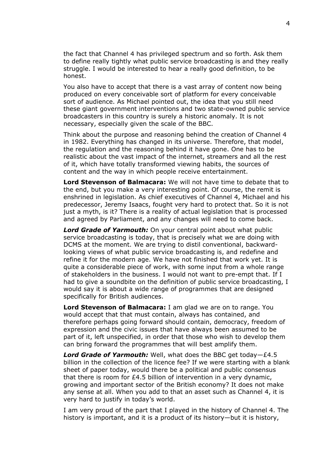the fact that Channel 4 has privileged spectrum and so forth. Ask them to define really tightly what public service broadcasting is and they really struggle. I would be interested to hear a really good definition, to be honest.

You also have to accept that there is a vast array of content now being produced on every conceivable sort of platform for every conceivable sort of audience. As Michael pointed out, the idea that you still need these giant government interventions and two state-owned public service broadcasters in this country is surely a historic anomaly. It is not necessary, especially given the scale of the BBC.

Think about the purpose and reasoning behind the creation of Channel 4 in 1982. Everything has changed in its universe. Therefore, that model, the regulation and the reasoning behind it have gone. One has to be realistic about the vast impact of the internet, streamers and all the rest of it, which have totally transformed viewing habits, the sources of content and the way in which people receive entertainment.

**Lord Stevenson of Balmacara:** We will not have time to debate that to the end, but you make a very interesting point. Of course, the remit is enshrined in legislation. As chief executives of Channel 4, Michael and his predecessor, Jeremy Isaacs, fought very hard to protect that. So it is not just a myth, is it? There is a reality of actual legislation that is processed and agreed by Parliament, and any changes will need to come back.

*Lord Grade of Yarmouth:* On your central point about what public service broadcasting is today, that is precisely what we are doing with DCMS at the moment. We are trying to distil conventional, backwardlooking views of what public service broadcasting is, and redefine and refine it for the modern age. We have not finished that work yet. It is quite a considerable piece of work, with some input from a whole range of stakeholders in the business. I would not want to pre-empt that. If I had to give a soundbite on the definition of public service broadcasting, I would say it is about a wide range of programmes that are designed specifically for British audiences.

**Lord Stevenson of Balmacara:** I am glad we are on to range. You would accept that that must contain, always has contained, and therefore perhaps going forward should contain, democracy, freedom of expression and the civic issues that have always been assumed to be part of it, left unspecified, in order that those who wish to develop them can bring forward the programmes that will best amplify them.

*Lord Grade of Yarmouth:* Well, what does the BBC get today—£4.5 billion in the collection of the licence fee? If we were starting with a blank sheet of paper today, would there be a political and public consensus that there is room for £4.5 billion of intervention in a very dynamic, growing and important sector of the British economy? It does not make any sense at all. When you add to that an asset such as Channel 4, it is very hard to justify in today's world.

I am very proud of the part that I played in the history of Channel 4. The history is important, and it is a product of its history—but it is history,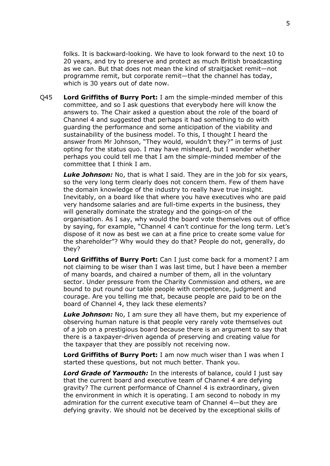folks. It is backward-looking. We have to look forward to the next 10 to 20 years, and try to preserve and protect as much British broadcasting as we can. But that does not mean the kind of straitjacket remit—not programme remit, but corporate remit—that the channel has today, which is 30 years out of date now.

Q45 **Lord Griffiths of Burry Port:** I am the simple-minded member of this committee, and so I ask questions that everybody here will know the answers to. The Chair asked a question about the role of the board of Channel 4 and suggested that perhaps it had something to do with guarding the performance and some anticipation of the viability and sustainability of the business model. To this, I thought I heard the answer from Mr Johnson, "They would, wouldn't they?" in terms of just opting for the status quo. I may have misheard, but I wonder whether perhaps you could tell me that I am the simple-minded member of the committee that I think I am.

*Luke Johnson:* No, that is what I said. They are in the job for six years, so the very long term clearly does not concern them. Few of them have the domain knowledge of the industry to really have true insight. Inevitably, on a board like that where you have executives who are paid very handsome salaries and are full-time experts in the business, they will generally dominate the strategy and the goings-on of the organisation. As I say, why would the board vote themselves out of office by saying, for example, "Channel 4 can't continue for the long term. Let's dispose of it now as best we can at a fine price to create some value for the shareholder"? Why would they do that? People do not, generally, do they?

**Lord Griffiths of Burry Port:** Can I just come back for a moment? I am not claiming to be wiser than I was last time, but I have been a member of many boards, and chaired a number of them, all in the voluntary sector. Under pressure from the Charity Commission and others, we are bound to put round our table people with competence, judgment and courage. Are you telling me that, because people are paid to be on the board of Channel 4, they lack these elements?

*Luke Johnson:* No, I am sure they all have them, but my experience of observing human nature is that people very rarely vote themselves out of a job on a prestigious board because there is an argument to say that there is a taxpayer-driven agenda of preserving and creating value for the taxpayer that they are possibly not receiving now.

**Lord Griffiths of Burry Port:** I am now much wiser than I was when I started these questions, but not much better. Thank you.

*Lord Grade of Yarmouth:* In the interests of balance, could I just say that the current board and executive team of Channel 4 are defying gravity? The current performance of Channel 4 is extraordinary, given the environment in which it is operating. I am second to nobody in my admiration for the current executive team of Channel 4—but they are defying gravity. We should not be deceived by the exceptional skills of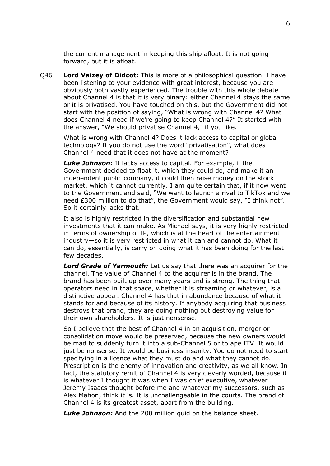the current management in keeping this ship afloat. It is not going forward, but it is afloat.

Q46 **Lord Vaizey of Didcot:** This is more of a philosophical question. I have been listening to your evidence with great interest, because you are obviously both vastly experienced. The trouble with this whole debate about Channel 4 is that it is very binary: either Channel 4 stays the same or it is privatised. You have touched on this, but the Government did not start with the position of saying, "What is wrong with Channel 4? What does Channel 4 need if we're going to keep Channel 4?" It started with the answer, "We should privatise Channel 4," if you like.

What is wrong with Channel 4? Does it lack access to capital or global technology? If you do not use the word "privatisation", what does Channel 4 need that it does not have at the moment?

*Luke Johnson:* It lacks access to capital. For example, if the Government decided to float it, which they could do, and make it an independent public company, it could then raise money on the stock market, which it cannot currently. I am quite certain that, if it now went to the Government and said, "We want to launch a rival to TikTok and we need £300 million to do that", the Government would say, "I think not". So it certainly lacks that.

It also is highly restricted in the diversification and substantial new investments that it can make. As Michael says, it is very highly restricted in terms of ownership of IP, which is at the heart of the entertainment industry—so it is very restricted in what it can and cannot do. What it can do, essentially, is carry on doing what it has been doing for the last few decades.

*Lord Grade of Yarmouth:* Let us say that there was an acquirer for the channel. The value of Channel 4 to the acquirer is in the brand. The brand has been built up over many years and is strong. The thing that operators need in that space, whether it is streaming or whatever, is a distinctive appeal. Channel 4 has that in abundance because of what it stands for and because of its history. If anybody acquiring that business destroys that brand, they are doing nothing but destroying value for their own shareholders. It is just nonsense.

So I believe that the best of Channel 4 in an acquisition, merger or consolidation move would be preserved, because the new owners would be mad to suddenly turn it into a sub-Channel 5 or to ape ITV. It would just be nonsense. It would be business insanity. You do not need to start specifying in a licence what they must do and what they cannot do. Prescription is the enemy of innovation and creativity, as we all know. In fact, the statutory remit of Channel 4 is very cleverly worded, because it is whatever I thought it was when I was chief executive, whatever Jeremy Isaacs thought before me and whatever my successors, such as Alex Mahon, think it is. It is unchallengeable in the courts. The brand of Channel 4 is its greatest asset, apart from the building.

*Luke Johnson:* And the 200 million quid on the balance sheet.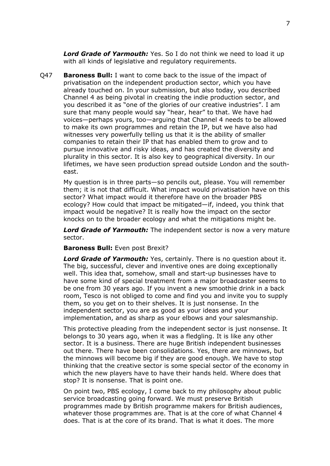*Lord Grade of Yarmouth:* Yes. So I do not think we need to load it up with all kinds of legislative and regulatory requirements.

Q47 **Baroness Bull:** I want to come back to the issue of the impact of privatisation on the independent production sector, which you have already touched on. In your submission, but also today, you described Channel 4 as being pivotal in creating the indie production sector, and you described it as "one of the glories of our creative industries". I am sure that many people would say "hear, hear" to that. We have had voices—perhaps yours, too—arguing that Channel 4 needs to be allowed to make its own programmes and retain the IP, but we have also had witnesses very powerfully telling us that it is the ability of smaller companies to retain their IP that has enabled them to grow and to pursue innovative and risky ideas, and has created the diversity and plurality in this sector. It is also key to geographical diversity. In our lifetimes, we have seen production spread outside London and the southeast.

My question is in three parts—so pencils out, please. You will remember them; it is not that difficult. What impact would privatisation have on this sector? What impact would it therefore have on the broader PBS ecology? How could that impact be mitigated—if, indeed, you think that impact would be negative? It is really how the impact on the sector knocks on to the broader ecology and what the mitigations might be.

*Lord Grade of Yarmouth:* The independent sector is now a very mature sector.

**Baroness Bull:** Even post Brexit?

*Lord Grade of Yarmouth:* Yes, certainly. There is no question about it. The big, successful, clever and inventive ones are doing exceptionally well. This idea that, somehow, small and start-up businesses have to have some kind of special treatment from a major broadcaster seems to be one from 30 years ago. If you invent a new smoothie drink in a back room, Tesco is not obliged to come and find you and invite you to supply them, so you get on to their shelves. It is just nonsense. In the independent sector, you are as good as your ideas and your implementation, and as sharp as your elbows and your salesmanship.

This protective pleading from the independent sector is just nonsense. It belongs to 30 years ago, when it was a fledgling. It is like any other sector. It is a business. There are huge British independent businesses out there. There have been consolidations. Yes, there are minnows, but the minnows will become big if they are good enough. We have to stop thinking that the creative sector is some special sector of the economy in which the new players have to have their hands held. Where does that stop? It is nonsense. That is point one.

On point two, PBS ecology, I come back to my philosophy about public service broadcasting going forward. We must preserve British programmes made by British programme makers for British audiences, whatever those programmes are. That is at the core of what Channel 4 does. That is at the core of its brand. That is what it does. The more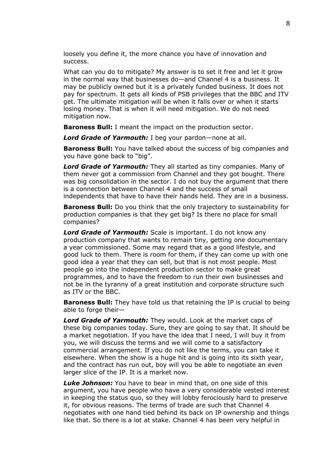loosely you define it, the more chance you have of innovation and success.

What can you do to mitigate? My answer is to set it free and let it grow in the normal way that businesses do—and Channel 4 is a business. It may be publicly owned but it is a privately funded business. It does not pay for spectrum. It gets all kinds of PSB privileges that the BBC and ITV get. The ultimate mitigation will be when it falls over or when it starts losing money. That is when it will need mitigation. We do not need mitigation now.

**Baroness Bull:** I meant the impact on the production sector.

*Lord Grade of Yarmouth:* I beg your pardon—none at all.

**Baroness Bull:** You have talked about the success of big companies and you have gone back to "big".

*Lord Grade of Yarmouth:* They all started as tiny companies. Many of them never got a commission from Channel and they got bought. There was big consolidation in the sector. I do not buy the argument that there is a connection between Channel 4 and the success of small independents that have to have their hands held. They are in a business.

**Baroness Bull:** Do you think that the only trajectory to sustainability for production companies is that they get big? Is there no place for small companies?

*Lord Grade of Yarmouth:* Scale is important. I do not know any production company that wants to remain tiny, getting one documentary a year commissioned. Some may regard that as a good lifestyle, and good luck to them. There is room for them, if they can come up with one good idea a year that they can sell, but that is not most people. Most people go into the independent production sector to make great programmes, and to have the freedom to run their own businesses and not be in the tyranny of a great institution and corporate structure such as ITV or the BBC.

**Baroness Bull:** They have told us that retaining the IP is crucial to being able to forge their—

*Lord Grade of Yarmouth:* They would. Look at the market caps of these big companies today. Sure, they are going to say that. It should be a market negotiation. If you have the idea that I need, I will buy it from you, we will discuss the terms and we will come to a satisfactory commercial arrangement. If you do not like the terms, you can take it elsewhere. When the show is a huge hit and is going into its sixth year, and the contract has run out, boy will you be able to negotiate an even larger slice of the IP. It is a market now.

*Luke Johnson:* You have to bear in mind that, on one side of this argument, you have people who have a very considerable vested interest in keeping the status quo, so they will lobby ferociously hard to preserve it, for obvious reasons. The terms of trade are such that Channel 4 negotiates with one hand tied behind its back on IP ownership and things like that. So there is a lot at stake. Channel 4 has been very helpful in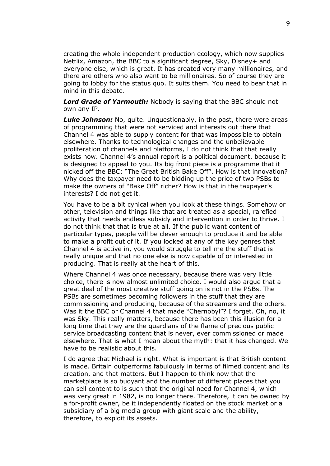creating the whole independent production ecology, which now supplies Netflix, Amazon, the BBC to a significant degree, Sky, Disney+ and everyone else, which is great. It has created very many millionaires, and there are others who also want to be millionaires. So of course they are going to lobby for the status quo. It suits them. You need to bear that in mind in this debate.

*Lord Grade of Yarmouth:* Nobody is saying that the BBC should not own any IP.

**Luke Johnson:** No, quite. Unquestionably, in the past, there were areas of programming that were not serviced and interests out there that Channel 4 was able to supply content for that was impossible to obtain elsewhere. Thanks to technological changes and the unbelievable proliferation of channels and platforms, I do not think that that really exists now. Channel 4's annual report is a political document, because it is designed to appeal to you. Its big front piece is a programme that it nicked off the BBC: "The Great British Bake Off". How is that innovation? Why does the taxpayer need to be bidding up the price of two PSBs to make the owners of "Bake Off" richer? How is that in the taxpayer's interests? I do not get it.

You have to be a bit cynical when you look at these things. Somehow or other, television and things like that are treated as a special, rarefied activity that needs endless subsidy and intervention in order to thrive. I do not think that that is true at all. If the public want content of particular types, people will be clever enough to produce it and be able to make a profit out of it. If you looked at any of the key genres that Channel 4 is active in, you would struggle to tell me the stuff that is really unique and that no one else is now capable of or interested in producing. That is really at the heart of this.

Where Channel 4 was once necessary, because there was very little choice, there is now almost unlimited choice. I would also argue that a great deal of the most creative stuff going on is not in the PSBs. The PSBs are sometimes becoming followers in the stuff that they are commissioning and producing, because of the streamers and the others. Was it the BBC or Channel 4 that made "Chernobyl"? I forget. Oh, no, it was Sky. This really matters, because there has been this illusion for a long time that they are the guardians of the flame of precious public service broadcasting content that is never, ever commissioned or made elsewhere. That is what I mean about the myth: that it has changed. We have to be realistic about this.

I do agree that Michael is right. What is important is that British content is made. Britain outperforms fabulously in terms of filmed content and its creation, and that matters. But I happen to think now that the marketplace is so buoyant and the number of different places that you can sell content to is such that the original need for Channel 4, which was very great in 1982, is no longer there. Therefore, it can be owned by a for-profit owner, be it independently floated on the stock market or a subsidiary of a big media group with giant scale and the ability, therefore, to exploit its assets.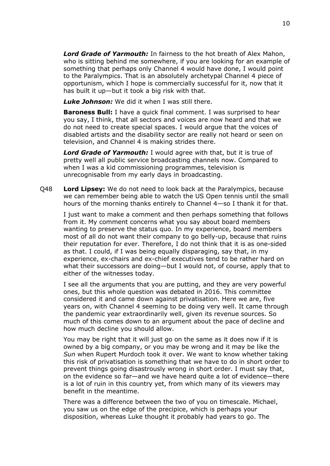*Lord Grade of Yarmouth:* In fairness to the hot breath of Alex Mahon, who is sitting behind me somewhere, if you are looking for an example of something that perhaps only Channel 4 would have done, I would point to the Paralympics. That is an absolutely archetypal Channel 4 piece of opportunism, which I hope is commercially successful for it, now that it has built it up—but it took a big risk with that.

*Luke Johnson:* We did it when I was still there.

**Baroness Bull:** I have a quick final comment. I was surprised to hear you say, I think, that all sectors and voices are now heard and that we do not need to create special spaces. I would argue that the voices of disabled artists and the disability sector are really not heard or seen on television, and Channel 4 is making strides there.

*Lord Grade of Yarmouth:* I would agree with that, but it is true of pretty well all public service broadcasting channels now. Compared to when I was a kid commissioning programmes, television is unrecognisable from my early days in broadcasting.

Q48 **Lord Lipsey:** We do not need to look back at the Paralympics, because we can remember being able to watch the US Open tennis until the small hours of the morning thanks entirely to Channel 4—so I thank it for that.

I just want to make a comment and then perhaps something that follows from it. My comment concerns what you say about board members wanting to preserve the status quo. In my experience, board members most of all do not want their company to go belly-up, because that ruins their reputation for ever. Therefore, I do not think that it is as one-sided as that. I could, if I was being equally disparaging, say that, in my experience, ex-chairs and ex-chief executives tend to be rather hard on what their successors are doing—but I would not, of course, apply that to either of the witnesses today.

I see all the arguments that you are putting, and they are very powerful ones, but this whole question was debated in 2016. This committee considered it and came down against privatisation. Here we are, five years on, with Channel 4 seeming to be doing very well. It came through the pandemic year extraordinarily well, given its revenue sources. So much of this comes down to an argument about the pace of decline and how much decline you should allow.

You may be right that it will just go on the same as it does now if it is owned by a big company, or you may be wrong and it may be like the *Sun* when Rupert Murdoch took it over. We want to know whether taking this risk of privatisation is something that we have to do in short order to prevent things going disastrously wrong in short order. I must say that, on the evidence so far—and we have heard quite a lot of evidence—there is a lot of ruin in this country yet, from which many of its viewers may benefit in the meantime.

There was a difference between the two of you on timescale. Michael, you saw us on the edge of the precipice, which is perhaps your disposition, whereas Luke thought it probably had years to go. The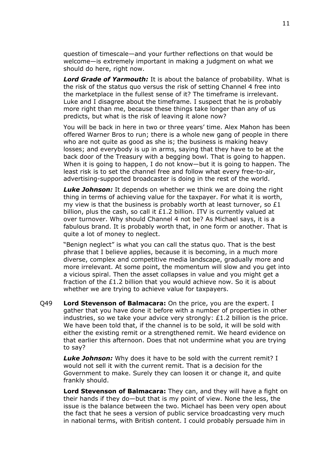question of timescale—and your further reflections on that would be welcome—is extremely important in making a judgment on what we should do here, right now.

*Lord Grade of Yarmouth:* It is about the balance of probability. What is the risk of the status quo versus the risk of setting Channel 4 free into the marketplace in the fullest sense of it? The timeframe is irrelevant. Luke and I disagree about the timeframe. I suspect that he is probably more right than me, because these things take longer than any of us predicts, but what is the risk of leaving it alone now?

You will be back in here in two or three years' time. Alex Mahon has been offered Warner Bros to run; there is a whole new gang of people in there who are not quite as good as she is; the business is making heavy losses; and everybody is up in arms, saying that they have to be at the back door of the Treasury with a begging bowl. That is going to happen. When it is going to happen, I do not know—but it is going to happen. The least risk is to set the channel free and follow what every free-to-air, advertising-supported broadcaster is doing in the rest of the world.

*Luke Johnson:* It depends on whether we think we are doing the right thing in terms of achieving value for the taxpayer. For what it is worth, my view is that the business is probably worth at least turnover, so  $£1$ billion, plus the cash, so call it  $£1.2$  billion. ITV is currently valued at over turnover. Why should Channel 4 not be? As Michael says, it is a fabulous brand. It is probably worth that, in one form or another. That is quite a lot of money to neglect.

"Benign neglect" is what you can call the status quo. That is the best phrase that I believe applies, because it is becoming, in a much more diverse, complex and competitive media landscape, gradually more and more irrelevant. At some point, the momentum will slow and you get into a vicious spiral. Then the asset collapses in value and you might get a fraction of the £1.2 billion that you would achieve now. So it is about whether we are trying to achieve value for taxpayers.

Q49 **Lord Stevenson of Balmacara:** On the price, you are the expert. I gather that you have done it before with a number of properties in other industries, so we take your advice very strongly: £1.2 billion is the price. We have been told that, if the channel is to be sold, it will be sold with either the existing remit or a strengthened remit. We heard evidence on that earlier this afternoon. Does that not undermine what you are trying to say?

*Luke Johnson:* Why does it have to be sold with the current remit? I would not sell it with the current remit. That is a decision for the Government to make. Surely they can loosen it or change it, and quite frankly should.

**Lord Stevenson of Balmacara:** They can, and they will have a fight on their hands if they do—but that is my point of view. None the less, the issue is the balance between the two. Michael has been very open about the fact that he sees a version of public service broadcasting very much in national terms, with British content. I could probably persuade him in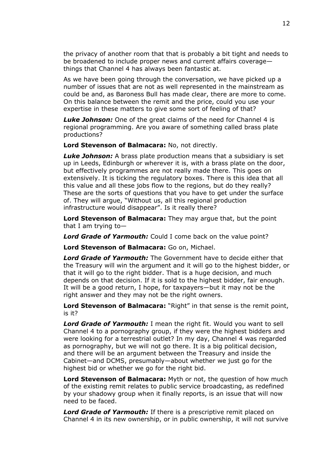the privacy of another room that that is probably a bit tight and needs to be broadened to include proper news and current affairs coverage things that Channel 4 has always been fantastic at.

As we have been going through the conversation, we have picked up a number of issues that are not as well represented in the mainstream as could be and, as Baroness Bull has made clear, there are more to come. On this balance between the remit and the price, could you use your expertise in these matters to give some sort of feeling of that?

*Luke Johnson:* One of the great claims of the need for Channel 4 is regional programming. Are you aware of something called brass plate productions?

**Lord Stevenson of Balmacara:** No, not directly.

*Luke Johnson:* A brass plate production means that a subsidiary is set up in Leeds, Edinburgh or wherever it is, with a brass plate on the door, but effectively programmes are not really made there. This goes on extensively. It is ticking the regulatory boxes. There is this idea that all this value and all these jobs flow to the regions, but do they really? These are the sorts of questions that you have to get under the surface of. They will argue, "Without us, all this regional production infrastructure would disappear". Is it really there?

**Lord Stevenson of Balmacara:** They may argue that, but the point that I am trying to—

*Lord Grade of Yarmouth:* Could I come back on the value point?

**Lord Stevenson of Balmacara:** Go on, Michael.

*Lord Grade of Yarmouth:* The Government have to decide either that the Treasury will win the argument and it will go to the highest bidder, or that it will go to the right bidder. That is a huge decision, and much depends on that decision. If it is sold to the highest bidder, fair enough. It will be a good return, I hope, for taxpayers—but it may not be the right answer and they may not be the right owners.

**Lord Stevenson of Balmacara:** "Right" in that sense is the remit point, is it?

*Lord Grade of Yarmouth:* I mean the right fit. Would you want to sell Channel 4 to a pornography group, if they were the highest bidders and were looking for a terrestrial outlet? In my day, Channel 4 was regarded as pornography, but we will not go there. It is a big political decision, and there will be an argument between the Treasury and inside the Cabinet—and DCMS, presumably—about whether we just go for the highest bid or whether we go for the right bid.

**Lord Stevenson of Balmacara:** Myth or not, the question of how much of the existing remit relates to public service broadcasting, as redefined by your shadowy group when it finally reports, is an issue that will now need to be faced.

*Lord Grade of Yarmouth:* If there is a prescriptive remit placed on Channel 4 in its new ownership, or in public ownership, it will not survive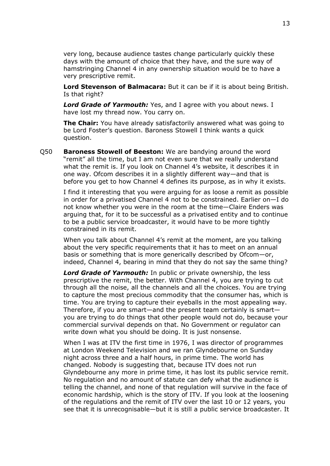very long, because audience tastes change particularly quickly these days with the amount of choice that they have, and the sure way of hamstringing Channel 4 in any ownership situation would be to have a very prescriptive remit.

**Lord Stevenson of Balmacara:** But it can be if it is about being British. Is that right?

*Lord Grade of Yarmouth:* Yes, and I agree with you about news. I have lost my thread now. You carry on.

**The Chair:** You have already satisfactorily answered what was going to be Lord Foster's question. Baroness Stowell I think wants a quick question.

Q50 **Baroness Stowell of Beeston:** We are bandying around the word "remit" all the time, but I am not even sure that we really understand what the remit is. If you look on Channel 4's website, it describes it in one way. Ofcom describes it in a slightly different way—and that is before you get to how Channel 4 defines its purpose, as in why it exists.

I find it interesting that you were arguing for as loose a remit as possible in order for a privatised Channel 4 not to be constrained. Earlier on—I do not know whether you were in the room at the time—Claire Enders was arguing that, for it to be successful as a privatised entity and to continue to be a public service broadcaster, it would have to be more tightly constrained in its remit.

When you talk about Channel 4's remit at the moment, are you talking about the very specific requirements that it has to meet on an annual basis or something that is more generically described by Ofcom—or, indeed, Channel 4, bearing in mind that they do not say the same thing?

*Lord Grade of Yarmouth:* In public or private ownership, the less prescriptive the remit, the better. With Channel 4, you are trying to cut through all the noise, all the channels and all the choices. You are trying to capture the most precious commodity that the consumer has, which is time. You are trying to capture their eyeballs in the most appealing way. Therefore, if you are smart—and the present team certainly is smart you are trying to do things that other people would not do, because your commercial survival depends on that. No Government or regulator can write down what you should be doing. It is just nonsense.

When I was at ITV the first time in 1976, I was director of programmes at London Weekend Television and we ran Glyndebourne on Sunday night across three and a half hours, in prime time. The world has changed. Nobody is suggesting that, because ITV does not run Glyndebourne any more in prime time, it has lost its public service remit. No regulation and no amount of statute can defy what the audience is telling the channel, and none of that regulation will survive in the face of economic hardship, which is the story of ITV. If you look at the loosening of the regulations and the remit of ITV over the last 10 or 12 years, you see that it is unrecognisable—but it is still a public service broadcaster. It